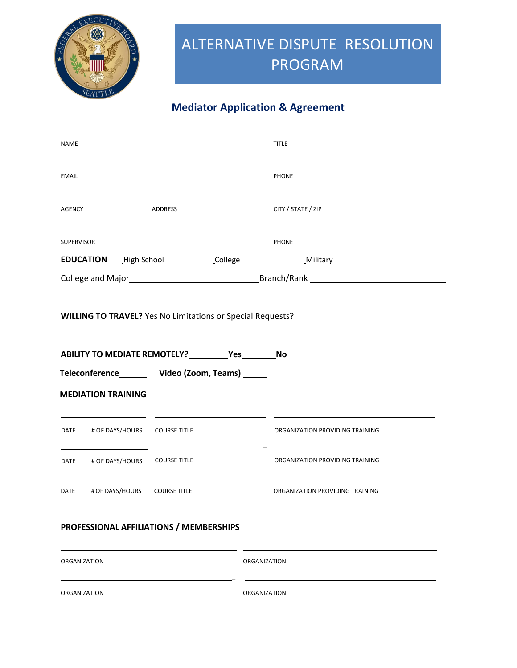

## **Mediator Application & Agreement**

| NAME                                                                                                                                                                                                                           |                                   |                                                                                                                               | <b>TITLE</b>                    |
|--------------------------------------------------------------------------------------------------------------------------------------------------------------------------------------------------------------------------------|-----------------------------------|-------------------------------------------------------------------------------------------------------------------------------|---------------------------------|
| <b>EMAIL</b>                                                                                                                                                                                                                   |                                   |                                                                                                                               | <b>PHONE</b>                    |
| <b>AGENCY</b>                                                                                                                                                                                                                  |                                   | <b>ADDRESS</b>                                                                                                                | CITY / STATE / ZIP              |
| <b>SUPERVISOR</b>                                                                                                                                                                                                              |                                   |                                                                                                                               | <b>PHONE</b>                    |
|                                                                                                                                                                                                                                | <b>EDUCATION</b> High School      | <b>College</b>                                                                                                                | _Military                       |
| College and Major entry and Major and Major and Major entry and Major entry and Major entry and Major entry and Major entry and Major entry and Major entry and Major entry and Major entry and Major entry and Major entry an |                                   |                                                                                                                               |                                 |
|                                                                                                                                                                                                                                |                                   | <b>WILLING TO TRAVEL?</b> Yes No Limitations or Special Requests?<br>ABILITY TO MEDIATE REMOTELY? __________ Yes _________ No |                                 |
|                                                                                                                                                                                                                                |                                   | Teleconference_________ Video (Zoom, Teams) ______                                                                            |                                 |
|                                                                                                                                                                                                                                | <b>MEDIATION TRAINING</b>         |                                                                                                                               |                                 |
|                                                                                                                                                                                                                                | DATE # OF DAYS/HOURS COURSE TITLE |                                                                                                                               | ORGANIZATION PROVIDING TRAINING |
|                                                                                                                                                                                                                                | DATE # OF DAYS/HOURS              | <b>COURSE TITLE</b>                                                                                                           | ORGANIZATION PROVIDING TRAINING |

| ORGANIZATION | ORGANIZATION        |
|--------------|---------------------|
| ORGANIZATION | <b>ORGANIZATION</b> |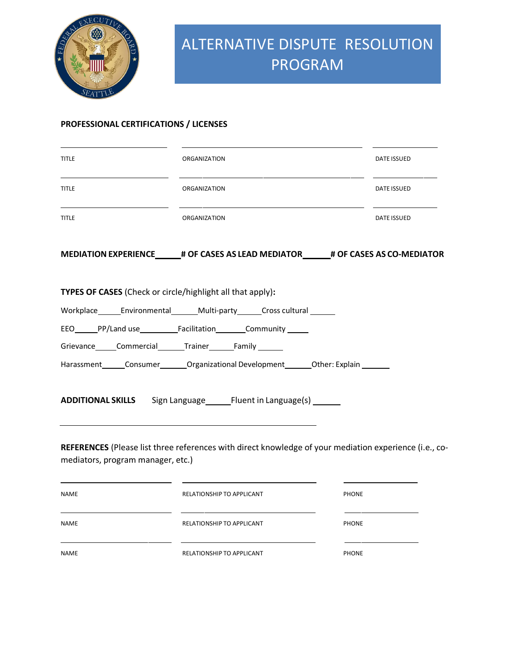

### **PROFESSIONAL CERTIFICATIONS / LICENSES**

| <b>TITLE</b>                                                   | ORGANIZATION                                                                                           | DATE ISSUED  |
|----------------------------------------------------------------|--------------------------------------------------------------------------------------------------------|--------------|
| <b>TITLE</b>                                                   | <b>ORGANIZATION</b>                                                                                    | DATE ISSUED  |
| <b>TITLE</b>                                                   | ORGANIZATION                                                                                           | DATE ISSUED  |
|                                                                | MEDIATION EXPERIENCE # OF CASES AS LEAD MEDIATOR # OF CASES AS CO-MEDIATOR                             |              |
| TYPES OF CASES (Check or circle/highlight all that apply):     |                                                                                                        |              |
|                                                                | Workplace________Environmental_________Multi-party________Cross cultural _______                       |              |
|                                                                | EEO______PP/Land use_____________Facilitation__________Community_______                                |              |
| Grievance______Commercial________Trainer________Family _______ |                                                                                                        |              |
|                                                                | Harassment Consumer Organizational Development Other: Explain                                          |              |
|                                                                | ADDITIONAL SKILLS Sign Language ______ Fluent in Language(s) _______                                   |              |
| mediators, program manager, etc.)                              | REFERENCES (Please list three references with direct knowledge of your mediation experience (i.e., co- |              |
| NAME                                                           | RELATIONSHIP TO APPLICANT                                                                              | <b>PHONE</b> |
| NAME                                                           | RELATIONSHIP TO APPLICANT                                                                              | <b>PHONE</b> |
| <b>NAME</b>                                                    | RELATIONSHIP TO APPLICANT                                                                              | <b>PHONE</b> |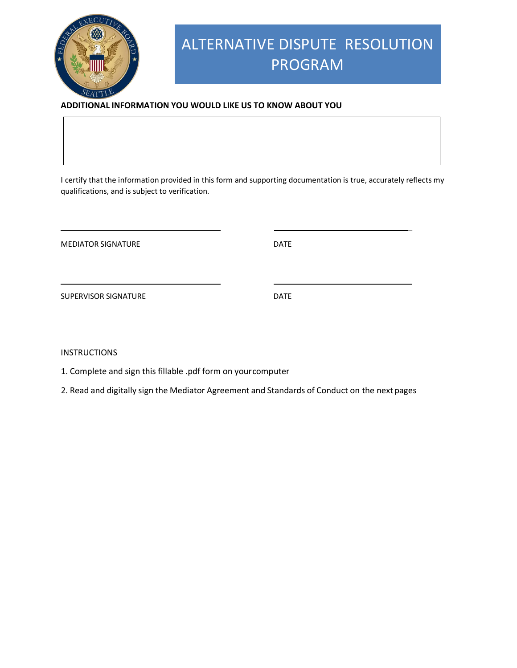

### **ADDITIONAL INFORMATION YOU WOULD LIKE US TO KNOW ABOUT YOU**

I certify that the information provided in this form and supporting documentation is true, accurately reflects my qualifications, and is subject to verification.

MEDIATOR SIGNATURE DATE

\_

SUPERVISOR SIGNATURE DATE

INSTRUCTIONS

1. Complete and sign this fillable .pdf form on yourcomputer

2. Read and digitally sign the Mediator Agreement and Standards of Conduct on the nextpages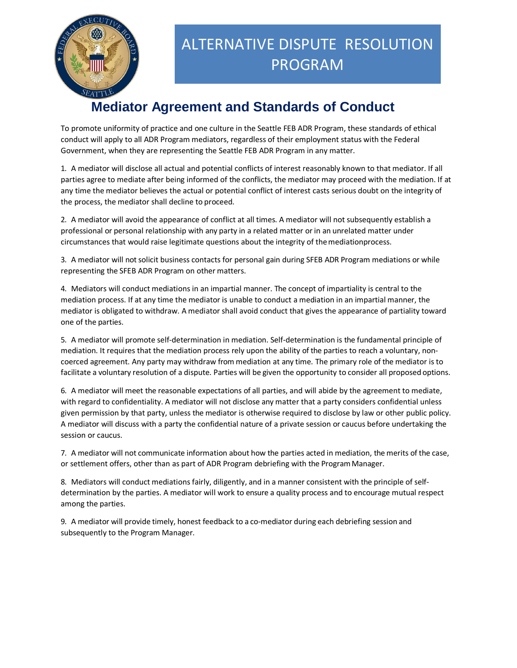

## **Mediator Agreement and Standards of Conduct**

To promote uniformity of practice and one culture in the Seattle FEB ADR Program, these standards of ethical conduct will apply to all ADR Program mediators, regardless of their employment status with the Federal Government, when they are representing the Seattle FEB ADR Program in any matter.

1. A mediator will disclose all actual and potential conflicts of interest reasonably known to that mediator. If all parties agree to mediate after being informed of the conflicts, the mediator may proceed with the mediation. If at any time the mediator believes the actual or potential conflict of interest casts serious doubt on the integrity of the process, the mediator shall decline to proceed.

2. A mediator will avoid the appearance of conflict at all times. A mediator will not subsequently establish a professional or personal relationship with any party in a related matter or in an unrelated matter under circumstances that would raise legitimate questions about the integrity of themediationprocess.

3. A mediator will not solicit business contacts for personal gain during SFEB ADR Program mediations or while representing the SFEB ADR Program on other matters.

4. Mediators will conduct mediations in an impartial manner. The concept of impartiality is central to the mediation process. If at any time the mediator is unable to conduct a mediation in an impartial manner, the mediator is obligated to withdraw. A mediator shall avoid conduct that gives the appearance of partiality toward one of the parties.

5. A mediator will promote self-determination in mediation. Self-determination is the fundamental principle of mediation. It requires that the mediation process rely upon the ability of the parties to reach a voluntary, noncoerced agreement. Any party may withdraw from mediation at any time. The primary role of the mediator is to facilitate a voluntary resolution of a dispute. Parties will be given the opportunity to consider all proposed options.

6. A mediator will meet the reasonable expectations of all parties, and will abide by the agreement to mediate, with regard to confidentiality. A mediator will not disclose any matter that a party considers confidential unless given permission by that party, unless the mediator is otherwise required to disclose by law or other public policy. A mediator will discuss with a party the confidential nature of a private session or caucus before undertaking the session or caucus.

7. A mediator will not communicate information about how the parties acted in mediation, the merits of the case, or settlement offers, other than as part of ADR Program debriefing with the ProgramManager.

8. Mediators will conduct mediations fairly, diligently, and in a manner consistent with the principle of selfdetermination by the parties. A mediator will work to ensure a quality process and to encourage mutual respect among the parties.

9. A mediator will provide timely, honest feedback to a co-mediator during each debriefing session and subsequently to the Program Manager.